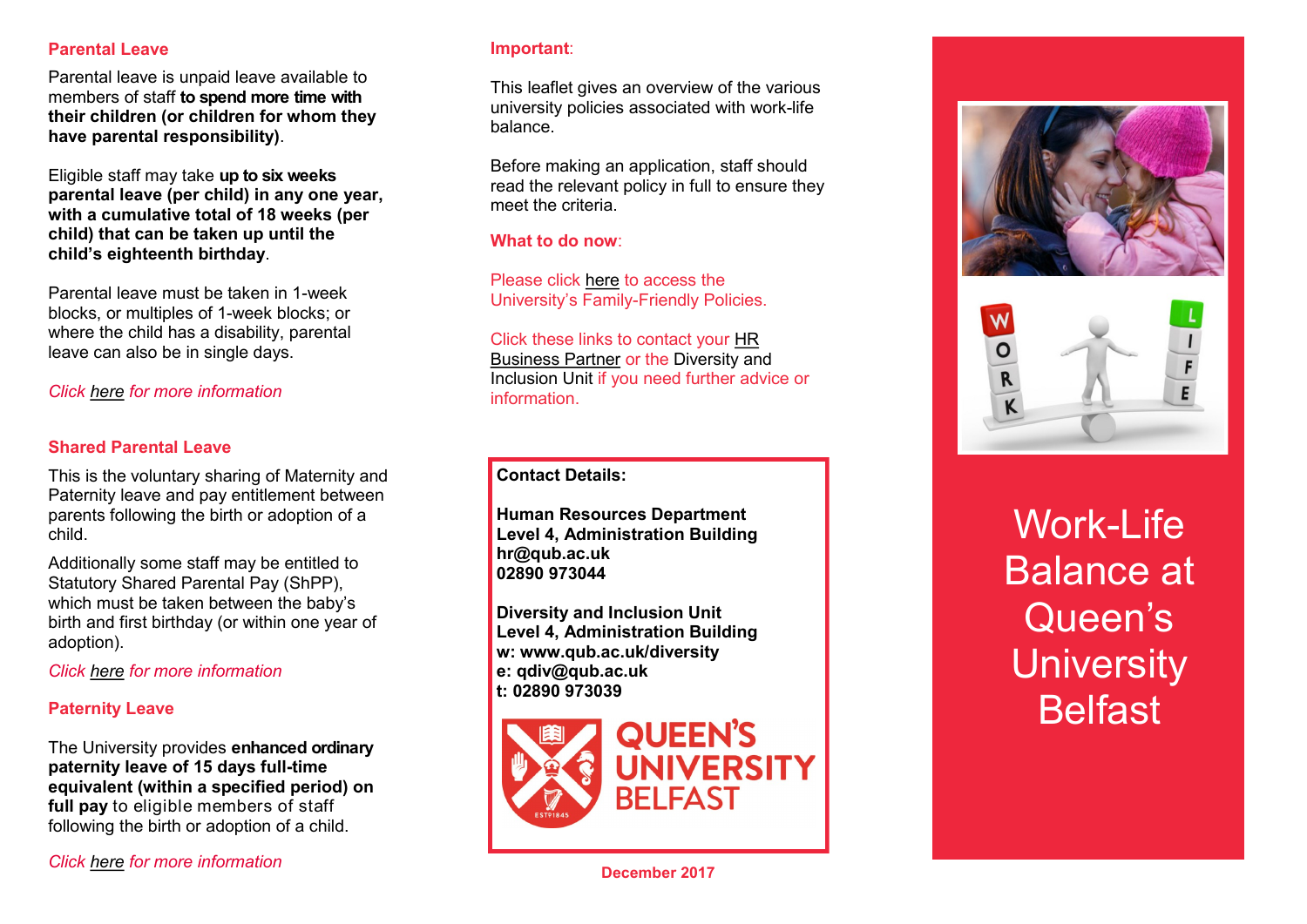### **Parental Leave**

Parental leave is unpaid leave available to members of staff **to spend more time with their children (or children for whom they have parental responsibility)**.

Eligible staff may take **up to six weeks parental leave (per child) in any one year, with a cumulative total of 18 weeks (per child) that can be taken up until the child's eighteenth birthday**.

Parental leave must be taken in 1 -week blocks, or multiples of 1 -week blocks; or where the child has a disability, parental leave can also be in single days.

## *Click [here](http://www.qub.ac.uk/directorates/HumanResources/DiversityandInclusionUnit/PoliciesandProcedures/WorkLifeBalancePoliciesApplicationForms/#d.en.759334) for more information*

#### **Shared Parental Leave**

This is the voluntary sharing of Maternity and Paternity leave and pay entitlement between parents following the birth or adoption of a child.

Additionally some staff may be entitled to Statutory Shared Parental Pay (ShPP), which must be taken between the baby's birth and first birthday (or within one year of adoption).

*Click [here](http://www.qub.ac.uk/directorates/HumanResources/DiversityandInclusionUnit/PoliciesandProcedures/WorkLifeBalancePoliciesApplicationForms/#d.en.759334) for more information*

#### **Paternity Leave**

The University provides **enhanced ordinary paternity leave of 15 days full -time equivalent (within a specified period) on full pay** to eligible members of staff following the birth or adoption of a child.

#### **Important**:

This leaflet gives an overview of the various university policies associated with work -life balance.

Before making an application, staff should read the relevant policy in full to ensure they meet the criteria.

**What to do now**:

Please click [here](https://www.qub.ac.uk/directorates/HumanResources/DiversityandInclusionUnit/PoliciesandProcedures/WorkLifeBalancePoliciesApplicationForms/#d.en.759334) to access the University's Family -Friendly Policies.

Click these links to contact your [HR](https://www.qub.ac.uk/directorates/HumanResources/BusinessPartnering/HRBPKeyContacts/)  [Business Partner](https://www.qub.ac.uk/directorates/HumanResources/BusinessPartnering/HRBPKeyContacts/) or the Diversity and Inclusion Unit if you need further advice or information.

**Contact Details:**

**Human Resources Department Level 4, Administration Building hr@qub.ac.uk 02890 973044**

**Diversity and Inclusion Unit Level 4, Administration Building w: www.qub.ac.uk/diversity e: qdiv@qub.ac.uk t: 02890 973039**







Work -Life Balance at Queen's **University Belfast**